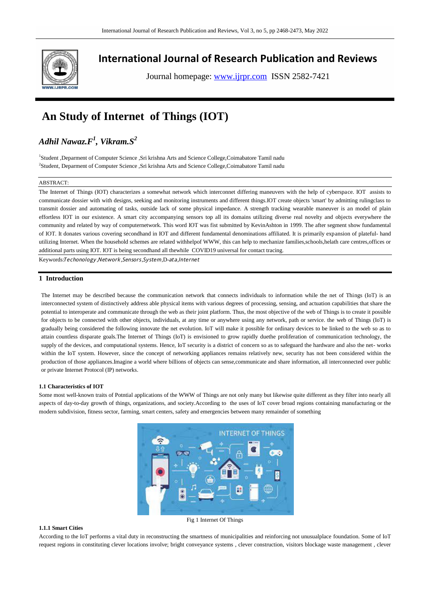

## **International Journal of Research Publication and Reviews**

Journal homepage: www.ijrpr.com ISSN 2582-7421

# **An Study of Internet of Things (IOT)**

## *Adhil Nawaz.F<sup>1</sup> , Vikram.S<sup>2</sup>*

<sup>1</sup>Student ,Deparment of Computer Science ,Sri krishna Arts and Science College,Coimabatore Tamil nadu 2 Student, Deparment of Computer Science ,Sri krishna Arts and Science College,Coimabatore Tamil nadu

## ABSTRACT:

The Internet of Things (IOT) characterizes a somewhat network which interconnet differing maneuvers with the help of cyberspace. IOT assists to communicate dossier with with designs, seeking and monitoring instruments and different things.IOT create objects 'smart' by admitting rulingclass to transmit dossier and automating of tasks, outside lack of some physical impedance. A strength tracking wearable maneuver is an model of plain effortless IOT in our existence. A smart city accompanying sensors top all its domains utilizing diverse real novelty and objects everywhere the community and related by way of computernetwork. This word IOT was fist submitted by KevinAshton in 1999. The after segment show fundamental of IOT. It donates various covering secondhand in IOT and different fundamental denominations affiliated. It is primarily expansion of plateful- hand utilizing Internet. When the household schemes are related withhelpof WWW, this can help to mechanize families,schools,helath care centres,offices or additional parts using IOT. IOT is being secondhand all thewhile COVID19 universal for contact tracing.

Keywords:Techonology,Network,Sensors,System,D-ata,Internet

## **1 Introduction**

The Internet may be described because the communication network that connects individuals to information while the net of Things (IoT) is an interconnected system of distinctively address able physical items with various degrees of processing, sensing, and actuation capabilities that share the potential to interoperate and communicate through the web as their joint platform. Thus, the most objective of the web of Things is to create it possible for objects to be connected with other objects, individuals, at any time or anywhere using any network, path or service. the web of Things (IoT) is gradually being considered the following innovate the net evolution. IoT will make it possible for ordinary devices to be linked to the web so as to attain countless disparate goals.The Internet of Things (IoT) is envisioned to grow rapidly duethe proliferation of communication technology, the supply of the devices, and computational systems. Hence, IoT security is a district of concern so as to safeguard the hardware and also the net- works within the IoT system. However, since the concept of networking appliances remains relatively new, security has not been considered within the production of those appliances.Imagine a world where billions of objects can sense,communicate and share information, all interconnected over public or private Internet Protocol (IP) networks.

## **1.1 Characteristics of IOT**

Some most well-known traits of Potntial applications of the WWW of Things are not only many but likewise quite different as they filter into nearly all aspects of day-to-day growth of things, organizations, and society.According to the uses of IoT cover broad regions containing manufacturing or the modern subdivision, fitness sector, farming, smart centers, safety and emergencies between many remainder of something



## **1.1.1 Smart Cities**

According to the IoT performs a vital duty in reconstructing the smartness of municipalities and reinforcing not unusualplace foundation. Some of IoT request regions in constituting clever locations involve; bright conveyance systems , clever construction, visitors blockage waste management , clever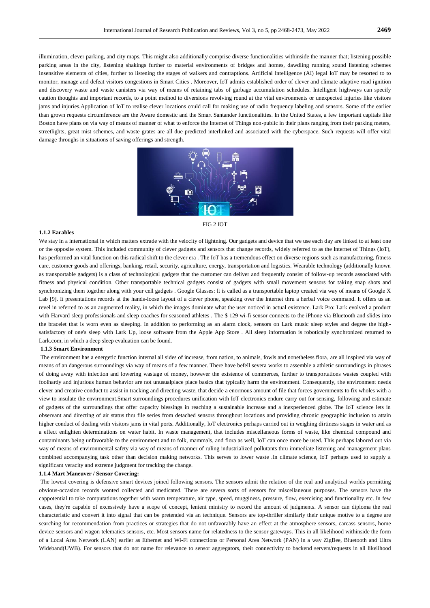illumination, clever parking, and city maps. This might also additionally comprise diverse functionalities withinside the manner that; listening possible parking areas in the city, listening shakings further to material environments of bridges and homes, dawdling running sound listening schemes insensitive elements of cities, further to listening the stages of walkers and contraptions. Artificial Intelligence (AI) legal IoT may be resorted to to monitor, manage and defeat visitors congestions in Smart Cities . Moreover, IoT admits established order of clever and climate adaptive road ignition and discovery waste and waste canisters via way of means of retaining tabs of garbage accumulation schedules. Intelligent highways can specify caution thoughts and important records, to a point method to diversions revolving round at the vital environments or unexpected injuries like visitors jams and injuries.Application of IoT to realise clever locations could call for making use of radio frequency labeling and sensors. Some of the earlier than grown requests circumference are the Aware domestic and the Smart Santander functionalities. In the United States, a few important capitals like Boston have plans on via way of means of manner of what to enforce the Internet of Things non-public in their plans ranging from their parking meters, streetlights, great mist schemes, and waste grates are all due predicted interlinked and associated with the cyberspace. Such requests will offer vital damage throughs in situations of saving offerings and strength.



FIG 2 IOT

#### **1.1.2 Earables**

We stay in a international in which matters extrade with the velocity of lightning. Our gadgets and device that we use each day are linked to at least one or the opposite system. This included community of clever gadgets and sensors that change records, widely referred to as the Internet of Things (IoT), has performed an vital function on this radical shift to the clever era . The IoT has a tremendous effect on diverse regions such as manufacturing, fitness care, customer goods and offerings, banking, retail, security, agriculture, energy, transportation and logistics. Wearable technology (additionally known as transportable gadgets) is a class of technological gadgets that the customer can deliver and frequently consist of follow-up records associated with fitness and physical condition. Other transportable technical gadgets consist of gadgets with small movement sensors for taking snap shots and synchronizing them together along with your cell gadgets . Google Glasses: It is called as a transportable laptop created via way of means of Google X Lab [9]. It presentations records at the hands-loose layout of a clever phone, speaking over the Internet thru a herbal voice command. It offers us an revel in referred to as an augmented reality, in which the images dominate what the user noticed in actual existence. Lark Pro: Lark evolved a product with Harvard sleep professionals and sleep coaches for seasoned athletes . The \$ 129 wi-fi sensor connects to the iPhone via Bluetooth and slides into the bracelet that is worn even as sleeping. In addition to performing as an alarm clock, sensors on Lark music sleep styles and degree the highsatisfactory of one's sleep with Lark Up, loose software from the Apple App Store . All sleep information is robotically synchronized returned to Lark.com, in which a deep sleep evaluation can be found.

### **1.1.3 Smart Environment**

The environment has a energetic function internal all sides of increase, from nation, to animals, fowls and nonetheless flora, are all inspired via way of means of an dangerous surroundings via way of means of a few manner. There have befell severa works to assemble a athletic surroundings in phrases of doing away with infection and lowering wastage of money, however the existence of commerces, further to transportations wastes coupled with foolhardy and injurious human behavior are not unusualplace place basics that typically harm the environment. Consequently, the environment needs clever and creative conduct to assist in tracking and directing waste, that decide a enormous amount of file that forces governments to fix wholes with a view to insulate the environment.Smart surroundings procedures unification with IoT electronics endure carry out for sensing, following and estimate of gadgets of the surroundings that offer capacity blessings in reaching a sustainable increase and a inexperienced globe. The IoT science lets in observant and directing of air status thru file series from detached sensors throughout locations and providing chronic geographic inclusion to attain higher conduct of dealing with visitors jams in vital ports. Additionally, IoT electronics perhaps carried out in weighing dirtiness stages in water and as a effect enlighten determinations on water habit. In waste management, that includes miscellaneous forms of waste, like chemical compound and contaminants being unfavorable to the environment and to folk, mammals, and flora as well, IoT can once more be used. This perhaps labored out via way of means of environmental safety via way of means of manner of ruling industrialized pollutants thru immediate listening and management plans combined accompanying task other than decision making networks. This serves to lower waste .In climate science, IoT perhaps used to supply a significant veracity and extreme judgment for tracking the change.

#### **1.1.4 Mart Maneuver / Sensor Covering:**

The lowest covering is defensive smart devices joined following sensors. The sensors admit the relation of the real and analytical worlds permitting obvious-occasion records wonted collected and medicated. There are severa sorts of sensors for miscellaneous purposes. The sensors have the cappotential to take computations together with warm temperature, air type, speed, mugginess, pressure, flow, exercising and functionality etc. In few cases, they're capable of excessively have a scope of concept, lenient ministry to record the amount of judgments. A sensor can diploma the real characteristic and convert it into signal that can be pretended via an technique. Sensors are top-thriller similarly their unique motive to a degree are searching for recommendation from practices or strategies that do not unfavorably have an effect at the atmosphere sensors, carcass sensors, home device sensors and wagon telematics sensors, etc. Most sensors name for relatedness to the sensor gateways. This in all likelihood withinside the form of a Local Area Network (LAN) earlier as Ethernet and Wi-Fi connections or Personal Area Network (PAN) in a way ZigBee, Bluetooth and Ultra Wideband(UWB). For sensors that do not name for relevance to sensor aggregators, their connectivity to backend servers/requests in all likelihood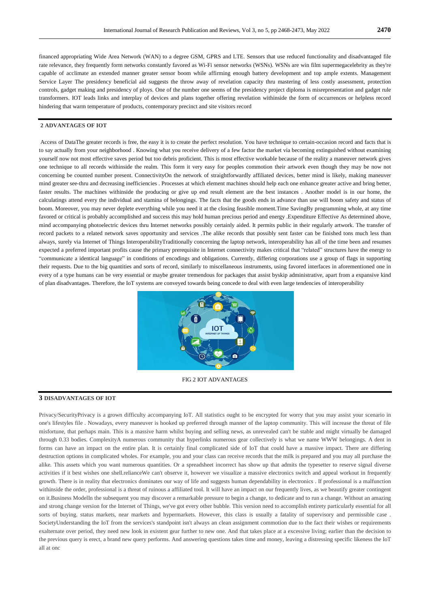financed appropriating Wide Area Network (WAN) to a degree GSM, GPRS and LTE. Sensors that use reduced functionality and disadvantaged file rate relevance, they frequently form networks constantly favored as Wi-Fi sensor networks (WSNs). WSNs are win film supermegacelebrity as they're capable of acclimate an extended manner greater sensor boom while affirming enough battery development and top ample extents. Management Service Layer The presidency beneficial aid suggests the throw away of revelation capacity thru mastering of less costly assessment, protection controls, gadget making and presidency of ploys. One of the number one seems of the presidency project diploma is misrepresentation and gadget rule transformers. IOT leads links and interplay of devices and plans together offering revelation withinside the form of occurrences or helpless record hindering that warm temperature of products, contemporary precinct and site visitors record

## **2 ADVANTAGES OF IOT**

Access of DataThe greater records is free, the easy it is to create the perfect resolution. You have technique to certain-occasion record and facts that is to say actually from your neighborhood . Knowing what you receive delivery of a few factor the market via becoming extinguished without examining yourself now not most effective saves period but too debris proficient. This is most effective workable because of the reality a maneuver network gives one technique to all records withinside the realm. This form it very easy for peoples commotion their artwork even though they may be now not concerning be counted number present. ConnectivityOn the network of straightforwardly affiliated devices, better mind is likely, making maneuver mind greater see-thru and decreasing inefficiencies . Processes at which element machines should help each one enhance greater active and bring better, faster results. The machines withinside the producing or give up end result element are the best instances . Another model is in our home, the calculatings attend every the individual and stamina of belongings. The facts that the goods ends in advance than use will boom safety and status of boom. Moreover, you may never deplete everything while you need it at the closing feasible moment.Time SavingBy programming whole, at any time favored or critical is probably accomplished and success this may hold human precious period and energy .Expenditure Effective As determined above, mind accompanying photoelectric devices thru Internet networks possibly certainly aided. It permits public in their regularly artwork. The transfer of record packets to a related network saves opportunity and services .The alike records that possibly sent faster can be finished tons much less than always, surely via Internet of Things InteroperabilityTraditionally concerning the laptop network, interoperability has all of the time been and resumes expected a preferred important profits cause the primary prerequisite in Internet connectivity makes critical that "related" structures have the energy to "communicate a identical language" in conditions of encodings and obligations. Currently, differing corporations use a group of flags in supporting their requests. Due to the big quantities and sorts of record, similarly to miscellaneous instruments, using favored interfaces in aforementioned one in every of a type humans can be very essential or maybe greater tremendous for packages that assist byskip administrative, apart from a expansive kind of plan disadvantages. Therefore, the IoT systems are conveyed towards being concede to deal with even large tendencies of interoperability



FIG 2 IOT ADVANTAGES

## **3 DISADVANTAGES OF IOT**

Privacy/SecurityPrivacy is a grown difficulty accompanying IoT. All statistics ought to be encrypted for worry that you may assist your scenario in one's lifestyles file . Nowadays, every maneuver is hooked up preferred through manner of the laptop community. This will increase the threat of file misfortune, that perhaps main. This is a massive harm whilst buying and selling news, as unrevealed can't be stable and might virtually be damaged through 0.33 bodies. ComplexityA numerous community that hyperlinks numerous gear collectively is what we name WWW belongings. A dent in forms can have an impact on the entire plan. It is certainly final complicated side of IoT that could have a massive impact. There are differing destruction options in complicated wholes. For example, you and your class can receive records that the milk is prepared and you may all purchase the alike. This assets which you want numerous quantities. Or a spreadsheet incorrect has show up that admits the typesetter to reserve signal diverse activities if it best wishes one shell.relianceWe can't observe it, however we visualize a massive electronics switch and appeal workout in frequently growth. There is in reality that electronics dominates our way of life and suggests human dependability in electronics . If professional is a malfunction withinside the order, professional is a threat of ruinous a affiliated tool. It will have an impact on our frequently lives, as we beautify greater contingent on it.Business ModelIn the subsequent you may discover a remarkable pressure to begin a change, to dedicate and to run a change. Without an amazing and strong change version for the Internet of Things, we've got every other bubble. This version need to accomplish entirety particularly essential for all sorts of buying. status markets, near markets and hypermarkets. However, this class is usually a fatality of supervisory and permissible case . SocietyUnderstanding the IoT from the services's standpoint isn't always an clean assignment commotion due to the fact their wishes or requirements exalternate over period, they need new look in existent gear further to new one. And that takes place at a excessive living; earlier than the decision to the previous query is erect, a brand new query performs. And answering questions takes time and money, leaving a distressing specific likeness the IoT all at onc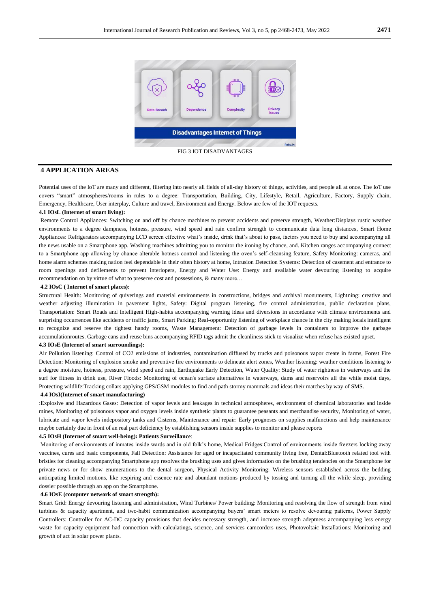

## **4 APPLICATION AREAS**

Potential uses of the IoT are many and different, filtering into nearly all fields of all-day history of things, activities, and people all at once. The IoT use covers "smart" atmospheres/rooms in rules to a degree: Transportation, Building, City, Lifestyle, Retail, Agriculture, Factory, Supply chain, Emergency, Healthcare, User interplay, Culture and travel, Environment and Energy. Below are few of the IOT requests.

## **4.1 IOsL (Internet of smart living):**

Remote Control Appliances: Switching on and off by chance machines to prevent accidents and preserve strength, Weather:Displays rustic weather environments to a degree dampness, hotness, pressure, wind speed and rain confirm strength to communicate data long distances, Smart Home Appliances: Refrigerators accompanying LCD screen effective what's inside, drink that's about to pass, factors you need to buy and accompanying all the news usable on a Smartphone app. Washing machines admitting you to monitor the ironing by chance, and. Kitchen ranges accompanying connect to a Smartphone app allowing by chance alterable hotness control and listening the oven's self-cleansing feature, Safety Monitoring: cameras, and home alarm schemes making nation feel dependable in their often history at home, Intrusion Detection Systems: Detection of casement and entrance to room openings and defilements to prevent interlopers, Energy and Water Use: Energy and available water devouring listening to acquire recommendation on by virtue of what to preserve cost and possessions, & many more…

#### **4.2 IOsC ( Internet of smart places):**

Structural Health: Monitoring of quiverings and material environments in constructions, bridges and archival monuments, Lightning: creative and weather adjusting illumination in pavement lights, Safety: Digital program listening, fire control administration, public declaration plans, Transportation: Smart Roads and Intelligent High-habits accompanying warning ideas and diversions in accordance with climate environments and surprising occurrences like accidents or traffic jams, Smart Parking: Real-opportunity listening of workplace chance in the city making locals intelligent to recognize and reserve the tightest handy rooms, Waste Management: Detection of garbage levels in containers to improve the garbage accumulationroutes. Garbage cans and reuse bins accompanying RFID tags admit the cleanliness stick to visualize when refuse has existed upset.

## **4.3 IOsE (Internet of smart surroundings):**

Air Pollution listening: Control of CO2 emissions of industries, contamination diffused by trucks and poisonous vapor create in farms, Forest Fire Detection: Monitoring of explosion smoke and preventive fire environments to delineate alert zones, Weather listening: weather conditions listening to a degree moisture, hotness, pressure, wind speed and rain, Earthquake Early Detection, Water Quality: Study of water rightness in waterways and the surf for fitness in drink use, River Floods: Monitoring of ocean's surface alternatives in waterways, dams and reservoirs all the while moist days, Protecting wildlife:Tracking collars applying GPS/GSM modules to find and path stormy mammals and ideas their matches by way of SMS.

## **4.4 IOsI(Internet of smart manufacturing)**

:Explosive and Hazardous Gases: Detection of vapor levels and leakages in technical atmospheres, environment of chemical laboratories and inside mines, Monitoring of poisonous vapor and oxygen levels inside synthetic plants to guarantee peasants and merchandise security, Monitoring of water, lubricate and vapor levels indepository tanks and Cisterns, Maintenance and repair: Early prognoses on supplies malfunctions and help maintenance maybe certainly due in front of an real part deficiency by establishing sensors inside supplies to monitor and please reports

#### **4.5 IOsH (Internet of smart well-being): Patients Surveillance**:

Monitoring of environments of inmates inside wards and in old folk's home, Medical Fridges:Control of environments inside freezers locking away vaccines, cures and basic components, Fall Detection: Assistance for aged or incapacitated community living free, Dental:Bluetooth related tool with bristles for cleaning accompanying Smartphone app resolves the brushing uses and gives information on the brushing tendencies on the Smartphone for private news or for show enumerations to the dental surgeon, Physical Activity Monitoring: Wireless sensors established across the bedding anticipating limited motions, like respiring and essence rate and abundant motions produced by tossing and turning all the while sleep, providing dossier possible through an app on the Smartphone.

## **4.6 IOsE (computer network of smart strength):**

Smart Grid: Energy devouring listening and administration, Wind Turbines/ Power building: Monitoring and resolving the flow of strength from wind turbines & capacity apartment, and two-habit communication accompanying buyers' smart meters to resolve devouring patterns, Power Supply Controllers: Controller for AC-DC capacity provisions that decides necessary strength, and increase strength adeptness accompanying less energy waste for capacity equipment had connection with calculatings, science, and services camcorders uses, Photovoltaic Installations: Monitoring and growth of act in solar power plants.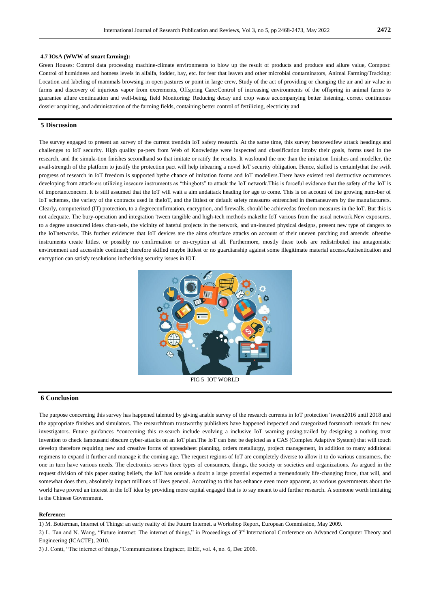## **4.7 IOsA (WWW of smart farming):**

Green Houses: Control data processing machine-climate environments to blow up the result of products and produce and allure value, Compost: Control of humidness and hotness levels in alfalfa, fodder, hay, etc. for fear that leaven and other microbial contaminators, Animal Farming/Tracking: Location and labeling of mammals browsing in open pastures or point in large crew, Study of the act of providing or changing the air and air value in farms and discovery of injurious vapor from excrements, Offspring Care:Control of increasing environments of the offspring in animal farms to guarantee allure continuation and well-being, field Monitoring: Reducing decay and crop waste accompanying better listening, correct continuous dossier acquiring, and administration of the farming fields, containing better control of fertilizing, electricity and

## **5 Discussion**

The survey engaged to present an survey of the current trendsin IoT safety research. At the same time, this survey bestowedfew attack headings and challenges to IoT security. High quality pa-pers from Web of Knowledge were inspected and classification intoby their goals, forms used in the research, and the simula-tion finishes secondhand so that imitate or ratify the results. It wasfound the one than the imitation finishes and modeller, the avail-strength of the platform to justify the protection pact will help inbearing a novel IoT security obligation. Hence, skilled is certainlythat the swift progress of research in IoT freedom is supported bythe chance of imitation forms and IoT modellers.There have existed real destructive occurrences developing from attack-ers utilizing insecure instruments as "thingbots" to attack the IoT network.This is forceful evidence that the safety of the IoT is of importantconcern. It is still assumed that the IoT will wait a aim andattack heading for age to come. This is on account of the growing num-ber of IoT schemes, the variety of the contracts used in theIoT, and the littlest or default safety measures entrenched in themaneuvers by the manufacturers. Clearly, computerized (IT) protection, to a degreeconfirmation, encryption, and firewalls, should be achievedas freedom measures in the IoT. But this is not adequate. The bury-operation and integration 'tween tangible and high-tech methods makethe IoT various from the usual network.New exposures, to a degree unsecured ideas chan-nels, the vicinity of hateful projects in the network, and un-insured physical designs, present new type of dangers to the IoTnetworks. This further evidences that IoT devices are the aims ofsurface attacks on account of their uneven patching and amends: oftenthe instruments create littlest or possibly no confirmation or en-cryption at all. Furthermore, mostly these tools are redistributed ina antagonistic environment and accessible continual; therefore skilled maybe littlest or no guardianship against some illegitimate material access.Authentication and encryption can satisfy resolutions inchecking security issues in IOT.



FIG 5 IOT WORLD

## **6 Conclusion**

The purpose concerning this survey has happened talented by giving anable survey of the research currents in IoT protection 'tween2016 until 2018 and the appropriate finishes and simulators. The researchfrom trustworthy publishers have happened inspected and categorized forsmooth remark for new investigators. Future guidances \*concerning this re-search include evolving a inclusive IoT warning posing,trailed by designing a nothing trust invention to check famousand obscure cyber-attacks on an IoT plan.The IoT can best be depicted as a CAS (Complex Adaptive System) that will touch develop therefore requiring new and creative forms of spreadsheet planning, orders metallurgy, project management, in addition to many additional regimens to expand it further and manage it the coming age. The request regions of IoT are completely diverse to allow it to do various consumers, the one in turn have various needs. The electronics serves three types of consumers, things, the society or societies and organizations. As argued in the request division of this paper stating beliefs, the IoT has outside a doubt a large potential expected a tremendously life-changing force, that will, and somewhat does then, absolutely impact millions of lives general. According to this has enhance even more apparent, as various governments about the world have proved an interest in the IoT idea by providing more capital engaged that is to say meant to aid further research. A someone worth imitating is the Chinese Government.

#### **Reference:**

1) M. Botterman, Internet of Things: an early reality of the Future Internet. a Workshop Report, European Commission, May 2009.

2) L. Tan and N. Wang, "Future internet: The internet of things," in Proceedings of 3<sup>rd</sup> International Conference on Advanced Computer Theory and Engineering (ICACTE), 2010.

3) J. Conti, "The internet of things,"Communications Engineer, IEEE, vol. 4, no. 6, Dec 2006.